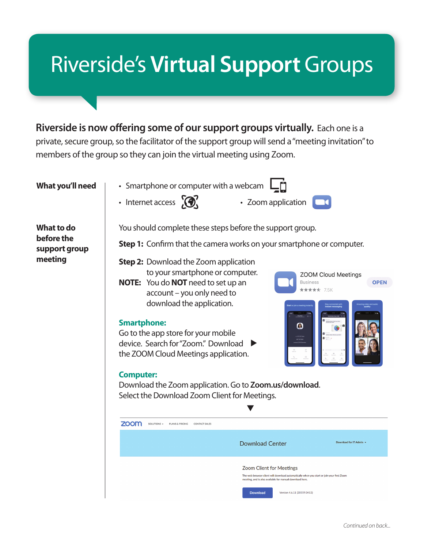## Riverside's **Virtual Support** Groups

**Riverside is now offering some of our support groups virtually.** Each one is a private, secure group, so the facilitator of the support group will send a "meeting invitation" to members of the group so they can join the virtual meeting using Zoom.

**What you'll need**

• Smartphone or computer with a webcam  $\Box$ 

• Internet access  $\bigotimes'$  • Zoom application



**ZOOM Cloud Meetings** 

**OPEN** 

**Business** 

 $+ + + + +$ 

**What to do before the support group meeting**

You should complete these steps before the support group.

**Step 1:** Confirm that the camera works on your smartphone or computer.

**Step 2:** Download the Zoom application to your smartphone or computer.

**NOTE:** You do **NOT** need to set up an account – you only need to download the application.

## **Smartphone:**

Go to the app store for your mobile device. Search for "Zoom." Download the ZOOM Cloud Meetings application.

## **Computer:**

Download the Zoom application. Go to **Zoom.us/download**. Select the Download Zoom Client for Meetings.

| <b>700m</b> | SOLUTIONS $\sim$ | PLANS & PRICING | CONTACT SALES |                                                                                      |                                                                                           |  |  |
|-------------|------------------|-----------------|---------------|--------------------------------------------------------------------------------------|-------------------------------------------------------------------------------------------|--|--|
|             |                  |                 |               | <b>Download Center</b>                                                               | Download for IT Admin ~                                                                   |  |  |
|             |                  |                 |               | Zoom Client for Meetings<br>meeting, and is also available for manual download here. | The web browser client will download automatically when you start or join your first Zoom |  |  |
|             |                  |                 |               | <b>Download</b><br>Version 4.6.11 (20559.0413)                                       |                                                                                           |  |  |